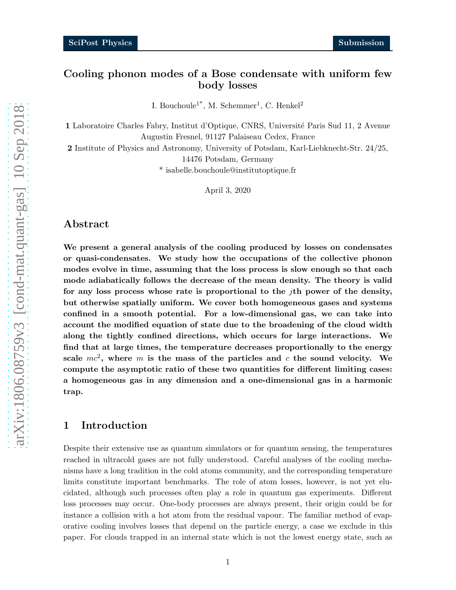# Cooling phonon modes of a Bose condensate with uniform few body losses

I. Bouchoule<sup>1\*</sup>, M. Schemmer<sup>1</sup>, C. Henkel<sup>2</sup>

1 Laboratoire Charles Fabry, Institut d'Optique, CNRS, Université Paris Sud 11, 2 Avenue Augustin Fresnel, 91127 Palaiseau Cedex, France

2 Institute of Physics and Astronomy, University of Potsdam, Karl-Liebknecht-Str. 24/25,

14476 Potsdam, Germany

\* isabelle.bouchoule@institutoptique.fr

April 3, 2020

### Abstract

We present a general analysis of the cooling produced by losses on condensates or quasi-condensates. We study how the occupations of the collective phonon modes evolve in time, assuming that the loss process is slow enough so that each mode adiabatically follows the decrease of the mean density. The theory is valid for any loss process whose rate is proportional to the *j*th power of the density, but otherwise spatially uniform. We cover both homogeneous gases and systems confined in a smooth potential. For a low-dimensional gas, we can take into account the modified equation of state due to the broadening of the cloud width along the tightly confined directions, which occurs for large interactions. We find that at large times, the temperature decreases proportionally to the energy scale  $mc^2$ , where m is the mass of the particles and c the sound velocity. We compute the asymptotic ratio of these two quantities for different limiting cases: a homogeneous gas in any dimension and a one-dimensional gas in a harmonic trap.

## 1 Introduction

Despite their extensive use as quantum simulators or for quantum sensing, the temperatures reached in ultracold gases are not fully understood. Careful analyses of the cooling mechanisms have a long tradition in the cold atoms community, and the corresponding temperature limits constitute important benchmarks. The role of atom losses, however, is not yet elucidated, although such processes often play a role in quantum gas experiments. Different loss processes may occur. One-body processes are always present, their origin could be for instance a collision with a hot atom from the residual vapour. The familiar method of evaporative cooling involves losses that depend on the particle energy, a case we exclude in this paper. For clouds trapped in an internal state which is not the lowest energy state, such as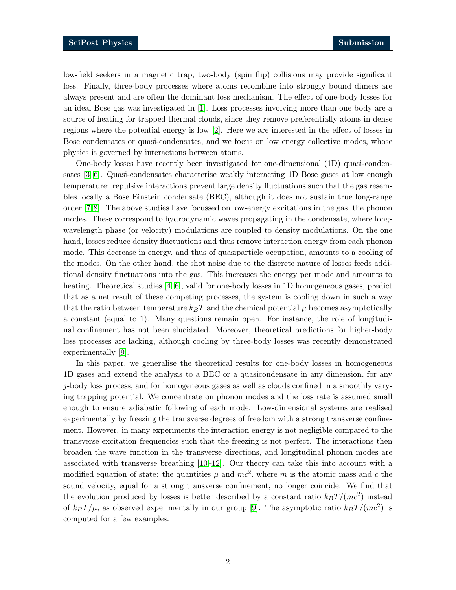low-field seekers in a magnetic trap, two-body (spin flip) collisions may provide significant loss. Finally, three-body processes where atoms recombine into strongly bound dimers are always present and are often the dominant loss mechanism. The effect of one-body losses for an ideal Bose gas was investigated in [\[1\]](#page-17-0). Loss processes involving more than one body are a source of heating for trapped thermal clouds, since they remove preferentially atoms in dense regions where the potential energy is low [\[2\]](#page-17-1). Here we are interested in the effect of losses in Bose condensates or quasi-condensates, and we focus on low energy collective modes, whose physics is governed by interactions between atoms.

One-body losses have recently been investigated for one-dimensional (1D) quasi-condensates [\[3–](#page-17-2)[6\]](#page-17-3). Quasi-condensates characterise weakly interacting 1D Bose gases at low enough temperature: repulsive interactions prevent large density fluctuations such that the gas resembles locally a Bose Einstein condensate (BEC), although it does not sustain true long-range order [\[7,](#page-17-4)[8\]](#page-17-5). The above studies have focussed on low-energy excitations in the gas, the phonon modes. These correspond to hydrodynamic waves propagating in the condensate, where longwavelength phase (or velocity) modulations are coupled to density modulations. On the one hand, losses reduce density fluctuations and thus remove interaction energy from each phonon mode. This decrease in energy, and thus of quasiparticle occupation, amounts to a cooling of the modes. On the other hand, the shot noise due to the discrete nature of losses feeds additional density fluctuations into the gas. This increases the energy per mode and amounts to heating. Theoretical studies  $[4-6]$ , valid for one-body losses in 1D homogeneous gases, predict that as a net result of these competing processes, the system is cooling down in such a way that the ratio between temperature  $k_BT$  and the chemical potential  $\mu$  becomes asymptotically a constant (equal to 1). Many questions remain open. For instance, the role of longitudinal confinement has not been elucidated. Moreover, theoretical predictions for higher-body loss processes are lacking, although cooling by three-body losses was recently demonstrated experimentally [\[9\]](#page-17-7).

In this paper, we generalise the theoretical results for one-body losses in homogeneous 1D gases and extend the analysis to a BEC or a quasicondensate in any dimension, for any j-body loss process, and for homogeneous gases as well as clouds confined in a smoothly varying trapping potential. We concentrate on phonon modes and the loss rate is assumed small enough to ensure adiabatic following of each mode. Low-dimensional systems are realised experimentally by freezing the transverse degrees of freedom with a strong transverse confinement. However, in many experiments the interaction energy is not negligible compared to the transverse excitation frequencies such that the freezing is not perfect. The interactions then broaden the wave function in the transverse directions, and longitudinal phonon modes are associated with transverse breathing  $[10-12]$ . Our theory can take this into account with a modified equation of state: the quantities  $\mu$  and  $mc^2$ , where m is the atomic mass and c the sound velocity, equal for a strong transverse confinement, no longer coincide. We find that the evolution produced by losses is better described by a constant ratio  $k_B T / (mc^2)$  instead of  $k_B T / \mu$ , as observed experimentally in our group [\[9\]](#page-17-7). The asymptotic ratio  $k_B T / (mc^2)$  is computed for a few examples.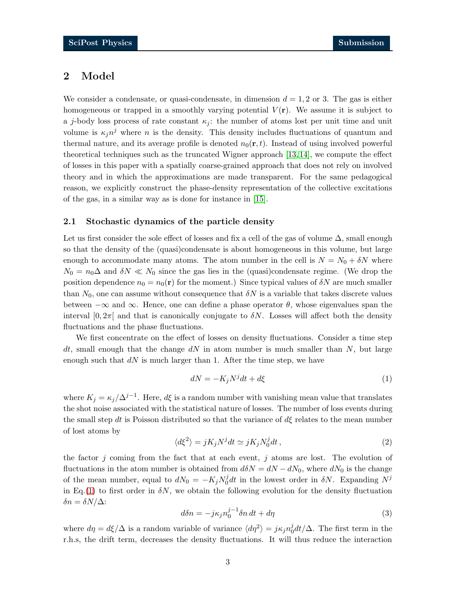## 2 Model

We consider a condensate, or quasi-condensate, in dimension  $d = 1, 2$  or 3. The gas is either homogeneous or trapped in a smoothly varying potential  $V(\mathbf{r})$ . We assume it is subject to a j-body loss process of rate constant  $\kappa_i$ : the number of atoms lost per unit time and unit volume is  $\kappa_j n^j$  where n is the density. This density includes fluctuations of quantum and thermal nature, and its average profile is denoted  $n_0(\mathbf{r}, t)$ . Instead of using involved powerful theoretical techniques such as the truncated Wigner approach [\[13,](#page-18-0) [14\]](#page-18-1), we compute the effect of losses in this paper with a spatially coarse-grained approach that does not rely on involved theory and in which the approximations are made transparent. For the same pedagogical reason, we explicitly construct the phase-density representation of the collective excitations of the gas, in a similar way as is done for instance in [\[15\]](#page-18-2).

### 2.1 Stochastic dynamics of the particle density

Let us first consider the sole effect of losses and fix a cell of the gas of volume  $\Delta$ , small enough so that the density of the (quasi)condensate is about homogeneous in this volume, but large enough to accommodate many atoms. The atom number in the cell is  $N = N_0 + \delta N$  where  $N_0 = n_0 \Delta$  and  $\delta N \ll N_0$  since the gas lies in the (quasi)condensate regime. (We drop the position dependence  $n_0 = n_0(\mathbf{r})$  for the moment.) Since typical values of  $\delta N$  are much smaller than  $N_0$ , one can assume without consequence that  $\delta N$  is a variable that takes discrete values between  $-\infty$  and  $\infty$ . Hence, one can define a phase operator  $\theta$ , whose eigenvalues span the interval  $[0, 2\pi]$  and that is canonically conjugate to  $\delta N$ . Losses will affect both the density fluctuations and the phase fluctuations.

We first concentrate on the effect of losses on density fluctuations. Consider a time step dt, small enough that the change  $dN$  in atom number is much smaller than N, but large enough such that  $dN$  is much larger than 1. After the time step, we have

<span id="page-2-0"></span>
$$
dN = -K_j N^j dt + d\xi \tag{1}
$$

where  $K_j = \kappa_j / \Delta^{j-1}$ . Here,  $d\xi$  is a random number with vanishing mean value that translates the shot noise associated with the statistical nature of losses. The number of loss events during the small step dt is Poisson distributed so that the variance of  $d\xi$  relates to the mean number of lost atoms by

$$
\langle d\xi^2 \rangle = jK_j N^j dt \simeq jK_j N_0^j dt, \qquad (2)
$$

the factor j coming from the fact that at each event, j atoms are lost. The evolution of fluctuations in the atom number is obtained from  $d\delta N = dN - dN_0$ , where  $dN_0$  is the change of the mean number, equal to  $dN_0 = -K_j N_0^j$  $\delta d$ t in the lowest order in  $\delta N$ . Expanding  $N^j$ in Eq.[\(1\)](#page-2-0) to first order in  $\delta N$ , we obtain the following evolution for the density fluctuation δn = δN/∆:

$$
d\delta n = -j\kappa_j n_0^{j-1} \delta n \, dt + d\eta \tag{3}
$$

<span id="page-2-1"></span>where  $d\eta = d\xi/\Delta$  is a random variable of variance  $\langle d\eta^2 \rangle = j\kappa_j n_0^j$  $\int_0^j dt/\Delta$ . The first term in the r.h.s, the drift term, decreases the density fluctuations. It will thus reduce the interaction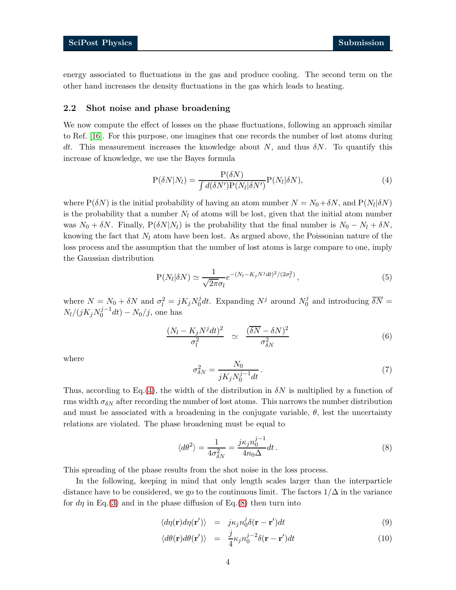energy associated to fluctuations in the gas and produce cooling. The second term on the other hand increases the density fluctuations in the gas which leads to heating.

### 2.2 Shot noise and phase broadening

We now compute the effect of losses on the phase fluctuations, following an approach similar to Ref. [\[16\]](#page-18-3). For this purpose, one imagines that one records the number of lost atoms during dt. This measurement increases the knowledge about  $N$ , and thus  $\delta N$ . To quantify this increase of knowledge, we use the Bayes formula

<span id="page-3-0"></span>
$$
P(\delta N|N_l) = \frac{P(\delta N)}{\int d(\delta N')P(N_l|\delta N')}P(N_l|\delta N),\tag{4}
$$

where  $P(\delta N)$  is the initial probability of having an atom number  $N = N_0 + \delta N$ , and  $P(N_l|\delta N)$ is the probability that a number  $N_l$  of atoms will be lost, given that the initial atom number was  $N_0 + \delta N$ . Finally,  $P(\delta N|N_l)$  is the probability that the final number is  $N_0 - N_l + \delta N$ , knowing the fact that  $N_l$  atom have been lost. As argued above, the Poissonian nature of the loss process and the assumption that the number of lost atoms is large compare to one, imply the Gaussian distribution

$$
P(N_l|\delta N) \simeq \frac{1}{\sqrt{2\pi}\sigma_l} e^{-(N_l - K_j N^j dt)^2/(2\sigma_l^2)}, \qquad (5)
$$

where  $N = N_0 + \delta N$  and  $\sigma_l^2 = jK_jN_0^j$  $\int_0^j dt$ . Expanding  $N^j$  around  $N_0^j$  $\delta N =$  $N_l/(jK_jN_0^{j-1}dt) - N_0/j$ , one has

$$
\frac{(N_l - K_j N^j dt)^2}{\sigma_l^2} \simeq \frac{(\overline{\delta N} - \delta N)^2}{\sigma_{\delta N}^2} \tag{6}
$$

where

<span id="page-3-1"></span>
$$
\sigma_{\delta N}^2 = \frac{N_0}{jK_j N_0^{j-1} dt}.
$$
\n<sup>(7)</sup>

Thus, according to Eq.[\(4\)](#page-3-0), the width of the distribution in  $\delta N$  is multiplied by a function of rms width  $\sigma_{\delta N}$  after recording the number of lost atoms. This narrows the number distribution and must be associated with a broadening in the conjugate variable,  $\theta$ , lest the uncertainty relations are violated. The phase broadening must be equal to

$$
\langle d\theta^2 \rangle = \frac{1}{4\sigma_{\delta N}^2} = \frac{j\kappa_j n_0^{j-1}}{4n_0 \Delta} dt. \tag{8}
$$

This spreading of the phase results from the shot noise in the loss process.

In the following, keeping in mind that only length scales larger than the interparticle distance have to be considered, we go to the continuous limit. The factors  $1/\Delta$  in the variance for  $d\eta$  in Eq.[\(3\)](#page-2-1) and in the phase diffusion of Eq.[\(8\)](#page-3-1) then turn into

$$
\langle d\eta(\mathbf{r})d\eta(\mathbf{r}')\rangle = j\kappa_j n_0^j \delta(\mathbf{r} - \mathbf{r}')dt \tag{9}
$$

$$
\langle d\theta(\mathbf{r})d\theta(\mathbf{r}')\rangle = \frac{j}{4}\kappa_j n_0^{j-2}\delta(\mathbf{r}-\mathbf{r}')dt
$$
\n(10)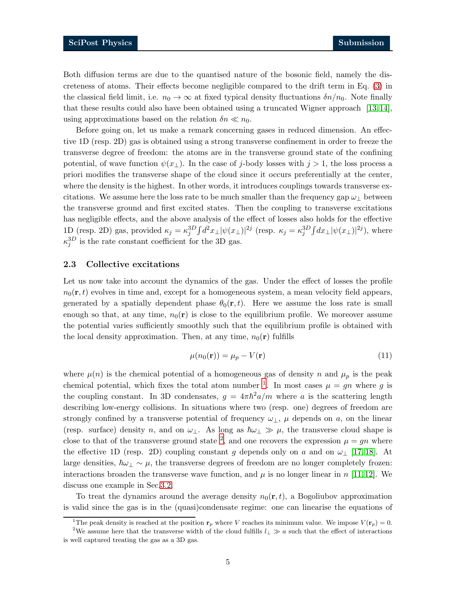Both diffusion terms are due to the quantised nature of the bosonic field, namely the discreteness of atoms. Their effects become negligible compared to the drift term in Eq. [\(3\)](#page-2-1) in the classical field limit, i.e.  $n_0 \to \infty$  at fixed typical density fluctuations  $\delta n/n_0$ . Note finally that these results could also have been obtained using a truncated Wigner approach [\[13,](#page-18-0) [14\]](#page-18-1), using approximations based on the relation  $\delta n \ll n_0$ .

Before going on, let us make a remark concerning gases in reduced dimension. An effective 1D (resp. 2D) gas is obtained using a strong transverse confinement in order to freeze the transverse degree of freedom: the atoms are in the transverse ground state of the confining potential, of wave function  $\psi(x_{\perp})$ . In the case of j-body losses with  $j > 1$ , the loss process a priori modifies the transverse shape of the cloud since it occurs preferentially at the center, where the density is the highest. In other words, it introduces couplings towards transverse excitations. We assume here the loss rate to be much smaller than the frequency gap  $\omega_{\perp}$  between the transverse ground and first excited states. Then the coupling to transverse excitations has negligible effects, and the above analysis of the effect of losses also holds for the effective 1D (resp. 2D) gas, provided  $\kappa_j = \kappa_j^{3D} \int d^2 x_\perp |\psi(x_\perp)|^{2j}$  (resp.  $\kappa_j = \kappa_j^{3D} \int dx_\perp |\psi(x_\perp)|^{2j}$ ), where  $\kappa_j^{3D}$  is the rate constant coefficient for the 3D gas.

#### 2.3 Collective excitations

Let us now take into account the dynamics of the gas. Under the effect of losses the profile  $n_0(\mathbf{r}, t)$  evolves in time and, except for a homogeneous system, a mean velocity field appears, generated by a spatially dependent phase  $\theta_0(\mathbf{r}, t)$ . Here we assume the loss rate is small enough so that, at any time,  $n_0(\mathbf{r})$  is close to the equilibrium profile. We moreover assume the potential varies sufficiently smoothly such that the equilibrium profile is obtained with the local density approximation. Then, at any time,  $n_0(\mathbf{r})$  fulfills

$$
\mu(n_0(\mathbf{r})) = \mu_p - V(\mathbf{r}) \tag{11}
$$

where  $\mu(n)$  is the chemical potential of a homogeneous gas of density n and  $\mu_p$  is the peak chemical potential, which fixes the total atom number <sup>[1](#page-4-0)</sup>. In most cases  $\mu = gn$  where g is the coupling constant. In 3D condensates,  $g = 4\pi \hbar^2 a/m$  where a is the scattering length describing low-energy collisions. In situations where two (resp. one) degrees of freedom are strongly confined by a transverse potential of frequency  $\omega_{\perp}$ ,  $\mu$  depends on a, on the linear (resp. surface) density n, and on  $\omega_{\perp}$ . As long as  $\hbar \omega_{\perp} \gg \mu$ , the transverse cloud shape is close to that of the transverse ground state <sup>[2](#page-4-1)</sup>, and one recovers the expression  $\mu = gn$  where the effective 1D (resp. 2D) coupling constant g depends only on a and on  $\omega_{\perp}$  [\[17,](#page-18-4) [18\]](#page-18-5). At large densities,  $\hbar\omega_{\perp} \sim \mu$ , the transverse degrees of freedom are no longer completely frozen: interactions broaden the transverse wave function, and  $\mu$  is no longer linear in n [\[11,](#page-17-10) [12\]](#page-17-9). We discuss one example in Sec[.3.2.](#page-7-0)

To treat the dynamics around the average density  $n_0(\mathbf{r}, t)$ , a Bogoliubov approximation is valid since the gas is in the (quasi)condensate regime: one can linearise the equations of

<span id="page-4-0"></span><sup>&</sup>lt;sup>1</sup>The peak density is reached at the position  $\mathbf{r}_p$  where V reaches its minimum value. We impose  $V(\mathbf{r}_p) = 0$ .

<span id="page-4-1"></span><sup>&</sup>lt;sup>2</sup>We assume here that the transverse width of the cloud fulfills  $l_{\perp} \gg a$  such that the effect of interactions is well captured treating the gas as a 3D gas.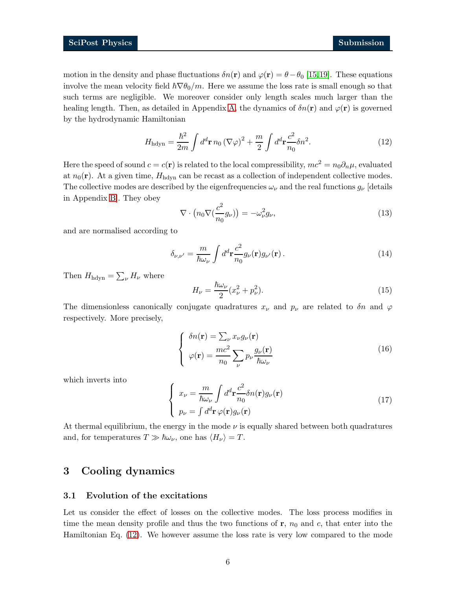motion in the density and phase fluctuations  $\delta n(\mathbf{r})$  and  $\varphi(\mathbf{r}) = \theta - \theta_0$  [\[15,](#page-18-2)[19\]](#page-18-6). These equations involve the mean velocity field  $\hbar \nabla \theta_0/m$ . Here we assume the loss rate is small enough so that such terms are negligible. We moreover consider only length scales much larger than the healing length. Then, as detailed in Appendix [A,](#page-13-0) the dynamics of  $\delta n(\mathbf{r})$  and  $\varphi(\mathbf{r})$  is governed by the hydrodynamic Hamiltonian

<span id="page-5-0"></span>
$$
H_{\rm hdyn} = \frac{\hbar^2}{2m} \int d^d \mathbf{r} \, n_0 \left(\nabla \varphi\right)^2 + \frac{m}{2} \int d^d \mathbf{r} \frac{c^2}{n_0} \delta n^2. \tag{12}
$$

Here the speed of sound  $c = c(\mathbf{r})$  is related to the local compressibility,  $mc^2 = n_0 \partial_n \mu$ , evaluated at  $n_0(\mathbf{r})$ . At a given time,  $H_{\text{hdyn}}$  can be recast as a collection of independent collective modes. The collective modes are described by the eigenfrequencies  $\omega_{\nu}$  and the real functions  $g_{\nu}$  [details in Appendix [B\]](#page-15-0). They obey

<span id="page-5-4"></span><span id="page-5-3"></span>
$$
\nabla \cdot \left( n_0 \nabla \left( \frac{c^2}{n_0} g_{\nu} \right) \right) = -\omega_{\nu}^2 g_{\nu},\tag{13}
$$

and are normalised according to

$$
\delta_{\nu,\nu'} = \frac{m}{\hbar\omega_{\nu}} \int d^d \mathbf{r} \frac{c^2}{n_0} g_{\nu}(\mathbf{r}) g_{\nu'}(\mathbf{r}) . \tag{14}
$$

Then  $H_{\text{hdyn}} = \sum_{\nu} H_{\nu}$  where

$$
H_{\nu} = \frac{\hbar \omega_{\nu}}{2} (x_{\nu}^2 + p_{\nu}^2). \tag{15}
$$

The dimensionless canonically conjugate quadratures  $x_{\nu}$  and  $p_{\nu}$  are related to  $\delta n$  and  $\varphi$ respectively. More precisely,

<span id="page-5-2"></span>
$$
\begin{cases}\n\delta n(\mathbf{r}) = \sum_{\nu} x_{\nu} g_{\nu}(\mathbf{r}) \\
\varphi(\mathbf{r}) = \frac{mc^2}{n_0} \sum_{\nu} p_{\nu} \frac{g_{\nu}(\mathbf{r})}{\hbar \omega_{\nu}}\n\end{cases}
$$
\n(16)

which inverts into

<span id="page-5-1"></span>
$$
\begin{cases}\n x_{\nu} = \frac{m}{\hbar \omega_{\nu}} \int d^{d} \mathbf{r} \frac{c^{2}}{n_{0}} \delta n(\mathbf{r}) g_{\nu}(\mathbf{r}) \\
 p_{\nu} = \int d^{d} \mathbf{r} \varphi(\mathbf{r}) g_{\nu}(\mathbf{r})\n\end{cases} (17)
$$

At thermal equilibrium, the energy in the mode  $\nu$  is equally shared between both quadratures and, for temperatures  $T \gg \hbar \omega_{\nu}$ , one has  $\langle H_{\nu} \rangle = T$ .

# 3 Cooling dynamics

### 3.1 Evolution of the excitations

Let us consider the effect of losses on the collective modes. The loss process modifies in time the mean density profile and thus the two functions of  $r$ ,  $n_0$  and c, that enter into the Hamiltonian Eq. [\(12\)](#page-5-0). We however assume the loss rate is very low compared to the mode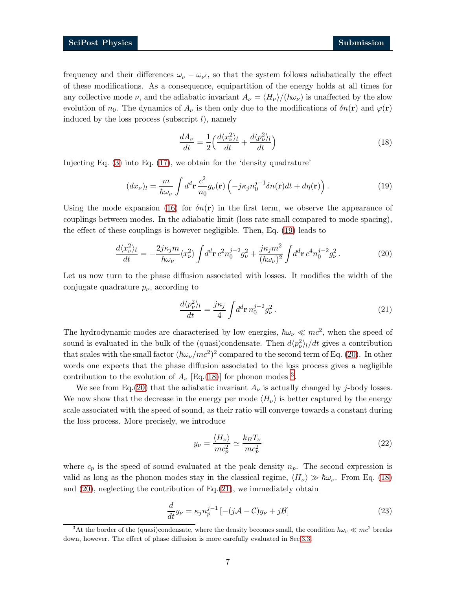frequency and their differences  $\omega_{\nu} - \omega_{\nu'}$ , so that the system follows adiabatically the effect of these modifications. As a consequence, equipartition of the energy holds at all times for any collective mode  $\nu$ , and the adiabatic invariant  $A_{\nu} = \langle H_{\nu} \rangle / (\hbar \omega_{\nu})$  is unaffected by the slow evolution of  $n_0$ . The dynamics of  $A_{\nu}$  is then only due to the modifications of  $\delta n(\mathbf{r})$  and  $\varphi(\mathbf{r})$ induced by the loss process (subscript  $l$ ), namely

<span id="page-6-2"></span><span id="page-6-0"></span>
$$
\frac{dA_{\nu}}{dt} = \frac{1}{2} \left( \frac{d \langle x_{\nu}^{2} \rangle_{l}}{dt} + \frac{d \langle p_{\nu}^{2} \rangle_{l}}{dt} \right)
$$
(18)

Injecting Eq. [\(3\)](#page-2-1) into Eq. [\(17\)](#page-5-1), we obtain for the 'density quadrature'

$$
(dx_{\nu})_l = \frac{m}{\hbar\omega_{\nu}} \int d^d \mathbf{r} \frac{c^2}{n_0} g_{\nu}(\mathbf{r}) \left( -j\kappa_j n_0^{j-1} \delta n(\mathbf{r}) dt + d\eta(\mathbf{r}) \right). \tag{19}
$$

Using the mode expansion [\(16\)](#page-5-2) for  $\delta n(\mathbf{r})$  in the first term, we observe the appearance of couplings between modes. In the adiabatic limit (loss rate small compared to mode spacing), the effect of these couplings is however negligible. Then, Eq. [\(19\)](#page-6-0) leads to

$$
\frac{d\langle x_{\nu}^{2}\rangle_{l}}{dt} = -\frac{2j\kappa_{j}m}{\hbar\omega_{\nu}}\langle x_{\nu}^{2}\rangle \int d^{d}\mathbf{r} \, c^{2}n_{0}^{j-2}g_{\nu}^{2} + \frac{j\kappa_{j}m^{2}}{(\hbar\omega_{\nu})^{2}} \int d^{d}\mathbf{r} \, c^{4}n_{0}^{j-2}g_{\nu}^{2}. \tag{20}
$$

Let us now turn to the phase diffusion associated with losses. It modifies the width of the conjugate quadrature  $p_{\nu}$ , according to

<span id="page-6-4"></span><span id="page-6-1"></span>
$$
\frac{d\langle p_{\nu}^{2}\rangle_{l}}{dt} = \frac{j\kappa_{j}}{4} \int d^{d}\mathbf{r} \, n_{0}^{j-2} g_{\nu}^{2}.
$$
\n(21)

The hydrodynamic modes are characterised by low energies,  $\hbar \omega_{\nu} \ll mc^2$ , when the speed of sound is evaluated in the bulk of the (quasi)condensate. Then  $d\langle p_{\nu}^2 \rangle_l/dt$  gives a contribution that scales with the small factor  $(\hbar \omega_{\nu}/mc^2)^2$  compared to the second term of Eq. [\(20\)](#page-6-1). In other words one expects that the phase diffusion associated to the loss process gives a negligible contribution to the evolution of  $A_{\nu}$  [Eq.[\(18\)](#page-6-2)] for phonon modes <sup>[3](#page-6-3)</sup>.

We see from Eq.[\(20\)](#page-6-1) that the adiabatic invariant  $A_{\nu}$  is actually changed by j-body losses. We now show that the decrease in the energy per mode  $\langle H_{\nu} \rangle$  is better captured by the energy scale associated with the speed of sound, as their ratio will converge towards a constant during the loss process. More precisely, we introduce

<span id="page-6-5"></span>
$$
y_{\nu} = \frac{\langle H_{\nu} \rangle}{mc_p^2} \simeq \frac{k_B T_{\nu}}{mc_p^2}
$$
 (22)

where  $c_p$  is the speed of sound evaluated at the peak density  $n_p$ . The second expression is valid as long as the phonon modes stay in the classical regime,  $\langle H_{\nu} \rangle \gg \hbar \omega_{\nu}$ . From Eq. [\(18\)](#page-6-2) and [\(20\)](#page-6-1), neglecting the contribution of Eq.[\(21\)](#page-6-4), we immediately obtain

$$
\frac{d}{dt}y_{\nu} = \kappa_j n_p^{j-1} \left[ -(j\mathcal{A} - \mathcal{C})y_{\nu} + j\mathcal{B} \right]
$$
\n(23)

<span id="page-6-3"></span><sup>&</sup>lt;sup>3</sup>At the border of the (quasi)condensate, where the density becomes small, the condition  $\hbar\omega_v \ll mc^2$  breaks down, however. The effect of phase diffusion is more carefully evaluated in Sec[.3.3.](#page-8-0)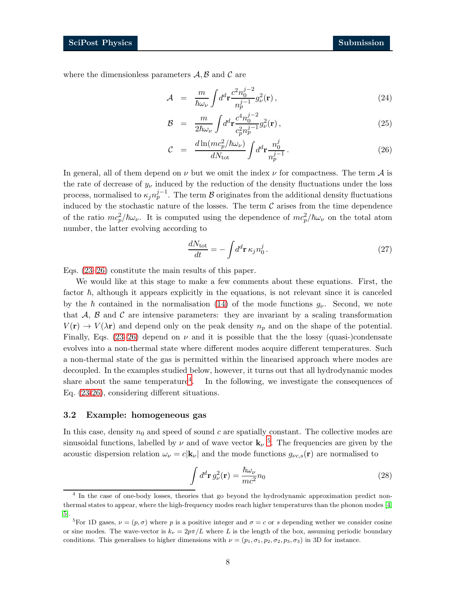where the dimensionless parameters  $A, B$  and  $C$  are

<span id="page-7-1"></span>
$$
\mathcal{A} = \frac{m}{\hbar \omega_{\nu}} \int d^d \mathbf{r} \frac{c^2 n_0^{j-2}}{n_p^{j-1}} g_{\nu}^2(\mathbf{r}), \qquad (24)
$$

$$
\mathcal{B} = \frac{m}{2\hbar\omega_{\nu}} \int d^d \mathbf{r} \frac{c^4 n_0^{j-2}}{c_p^2 n_p^{j-1}} g_{\nu}^2(\mathbf{r}), \qquad (25)
$$

$$
\mathcal{C} = \frac{d \ln(mc_p^2/\hbar\omega_\nu)}{dN_{\text{tot}}} \int d^d \mathbf{r} \frac{n_0^j}{n_p^{j-1}}.
$$
\n(26)

In general, all of them depend on  $\nu$  but we omit the index  $\nu$  for compactness. The term  $\mathcal A$  is the rate of decrease of  $y_{\nu}$  induced by the reduction of the density fluctuations under the loss process, normalised to  $\kappa_j n_p^{j-1}$ . The term  $\mathcal B$  originates from the additional density fluctuations induced by the stochastic nature of the losses. The term  $\mathcal C$  arises from the time dependence of the ratio  $mc_p^2/\hbar\omega_\nu$ . It is computed using the dependence of  $mc_p^2/\hbar\omega_\nu$  on the total atom number, the latter evolving according to

$$
\frac{dN_{\text{tot}}}{dt} = -\int d^d \mathbf{r} \,\kappa_j n_0^j. \tag{27}
$$

Eqs. [\(23](#page-6-5)[–26\)](#page-7-1) constitute the main results of this paper.

We would like at this stage to make a few comments about these equations. First, the factor  $\hbar$ , although it appears explicitly in the equations, is not relevant since it is canceled by the  $\hbar$  contained in the normalisation [\(14\)](#page-5-3) of the mode functions  $g_{\nu}$ . Second, we note that  $A, B$  and  $C$  are intensive parameters: they are invariant by a scaling transformation  $V(\mathbf{r}) \to V(\lambda \mathbf{r})$  and depend only on the peak density  $n_p$  and on the shape of the potential. Finally, Eqs. [\(23](#page-6-5)[–26\)](#page-7-1) depend on  $\nu$  and it is possible that the the lossy (quasi-)condensate evolves into a non-thermal state where different modes acquire different temperatures. Such a non-thermal state of the gas is permitted within the linearised approach where modes are decoupled. In the examples studied below, however, it turns out that all hydrodynamic modes share about the same temperature<sup>[4](#page-7-2)</sup>. In the following, we investigate the consequences of Eq. [\(23-](#page-6-5)[26\)](#page-7-1), considering different situations.

#### <span id="page-7-0"></span>3.2 Example: homogeneous gas

In this case, density  $n_0$  and speed of sound c are spatially constant. The collective modes are sinusoidal functions, labelled by  $\nu$  and of wave vector  $\mathbf{k}_{\nu}$ <sup>[5](#page-7-3)</sup>. The frequencies are given by the acoustic dispersion relation  $\omega_{\nu} = c|\mathbf{k}_{\nu}|$  and the mode functions  $g_{\nu c,s}(\mathbf{r})$  are normalised to

$$
\int d^d \mathbf{r} \, g_\nu^2(\mathbf{r}) = \frac{\hbar \omega_\nu}{mc^2} n_0 \tag{28}
$$

<span id="page-7-2"></span><sup>4</sup> In the case of one-body losses, theories that go beyond the hydrodynamic approximation predict nonthermal states to appear, where the high-frequency modes reach higher temperatures than the phonon modes [\[4,](#page-17-6) [5\]](#page-17-11).

<span id="page-7-3"></span><sup>&</sup>lt;sup>5</sup>For 1D gases,  $\nu = (p, \sigma)$  where p is a positive integer and  $\sigma = c$  or s depending wether we consider cosine or sine modes. The wave-vector is  $k_{\nu} = 2p\pi/L$  where L is the length of the box, assuming periodic boundary conditions. This generalises to higher dimensions with  $\nu = (p_1, \sigma_1, p_2, \sigma_2, p_3, \sigma_3)$  in 3D for instance.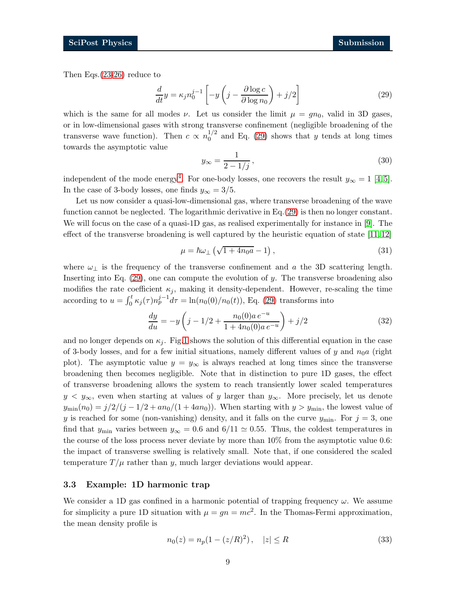Then Eqs.[\(23-](#page-6-5)[26\)](#page-7-1) reduce to

<span id="page-8-1"></span>
$$
\frac{d}{dt}y = \kappa_j n_0^{j-1} \left[ -y \left( j - \frac{\partial \log c}{\partial \log n_0} \right) + j/2 \right] \tag{29}
$$

which is the same for all modes  $\nu$ . Let us consider the limit  $\mu = gn_0$ , valid in 3D gases, or in low-dimensional gases with strong transverse confinement (negligible broadening of the transverse wave function). Then  $c \propto n_0^{1/2}$  $_0^{1/2}$  and Eq. [\(29\)](#page-8-1) shows that y tends at long times towards the asymptotic value

$$
y_{\infty} = \frac{1}{2 - 1/j},\tag{30}
$$

independent of the mode energy<sup>[4](#page-7-2)</sup>. For one-body losses, one recovers the result  $y_{\infty} = 1$  [\[4,](#page-17-6) [5\]](#page-17-11). In the case of 3-body losses, one finds  $y_{\infty} = 3/5$ .

Let us now consider a quasi-low-dimensional gas, where transverse broadening of the wave function cannot be neglected. The logarithmic derivative in Eq.[\(29\)](#page-8-1) is then no longer constant. We will focus on the case of a quasi-1D gas, as realised experimentally for instance in [\[9\]](#page-17-7). The effect of the transverse broadening is well captured by the heuristic equation of state [\[11,](#page-17-10) [12\]](#page-17-9)

$$
\mu = \hbar \omega_{\perp} \left( \sqrt{1 + 4n_0 a} - 1 \right),\tag{31}
$$

where  $\omega_{\perp}$  is the frequency of the transverse confinement and a the 3D scattering length. Inserting into Eq. [\(29\)](#page-8-1), one can compute the evolution of y. The transverse broadening also modifies the rate coefficient  $\kappa_i$ , making it density-dependent. However, re-scaling the time according to  $u = \int_0^t \kappa_j(\tau) n_p^{j-1} d\tau = \ln(n_0(0)/n_0(t))$ , Eq. [\(29\)](#page-8-1) transforms into

$$
\frac{dy}{du} = -y\left(j - 1/2 + \frac{n_0(0)a e^{-u}}{1 + 4n_0(0)a e^{-u}}\right) + j/2
$$
\n(32)

and no longer depends on  $\kappa_i$ . Fig[.1](#page-9-0) shows the solution of this differential equation in the case of 3-body losses, and for a few initial situations, namely different values of y and  $n_0a$  (right plot). The asymptotic value  $y = y_{\infty}$  is always reached at long times since the transverse broadening then becomes negligible. Note that in distinction to pure 1D gases, the effect of transverse broadening allows the system to reach transiently lower scaled temperatures  $y < y_{\infty}$ , even when starting at values of y larger than  $y_{\infty}$ . More precisely, let us denote  $y_{\text{min}}(n_0) = j/2/(j - 1/2 + a n_0/(1 + 4an_0))$ . When starting with  $y > y_{\text{min}}$ , the lowest value of y is reached for some (non-vanishing) density, and it falls on the curve  $y_{\text{min}}$ . For  $j = 3$ , one find that  $y_{\text{min}}$  varies between  $y_{\infty} = 0.6$  and  $6/11 \simeq 0.55$ . Thus, the coldest temperatures in the course of the loss process never deviate by more than 10% from the asymptotic value 0.6: the impact of transverse swelling is relatively small. Note that, if one considered the scaled temperature  $T/\mu$  rather than y, much larger deviations would appear.

### <span id="page-8-0"></span>3.3 Example: 1D harmonic trap

We consider a 1D gas confined in a harmonic potential of trapping frequency  $\omega$ . We assume for simplicity a pure 1D situation with  $\mu = gn = mc^2$ . In the Thomas-Fermi approximation, the mean density profile is

<span id="page-8-2"></span>
$$
n_0(z) = n_p(1 - (z/R)^2), \quad |z| \le R \tag{33}
$$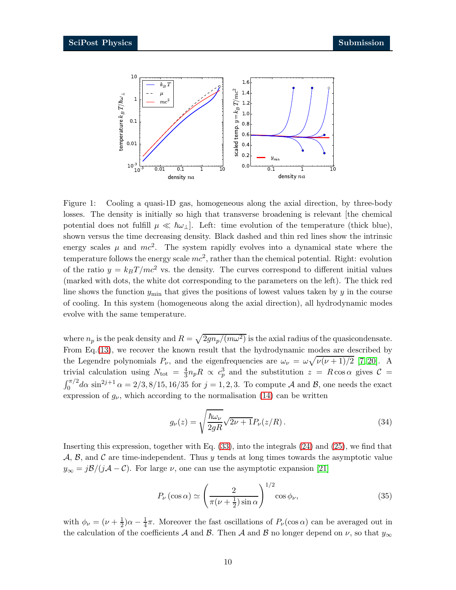

<span id="page-9-0"></span>Figure 1: Cooling a quasi-1D gas, homogeneous along the axial direction, by three-body losses. The density is initially so high that transverse broadening is relevant [the chemical potential does not fulfill  $\mu \ll \hbar \omega_{\perp}$ . Left: time evolution of the temperature (thick blue), shown versus the time decreasing density. Black dashed and thin red lines show the intrinsic energy scales  $\mu$  and  $mc^2$ . The system rapidly evolves into a dynamical state where the temperature follows the energy scale  $mc^2$ , rather than the chemical potential. Right: evolution of the ratio  $y = k_B T / mc^2$  vs. the density. The curves correspond to different initial values (marked with dots, the white dot corresponding to the parameters on the left). The thick red line shows the function  $y_{\text{min}}$  that gives the positions of lowest values taken by y in the course of cooling. In this system (homogeneous along the axial direction), all hydrodynamic modes evolve with the same temperature.

where  $n_p$  is the peak density and  $R = \sqrt{2gn_p/(m\omega^2)}$  is the axial radius of the quasicondensate. From Eq.[\(13\)](#page-5-4), we recover the known result that the hydrodynamic modes are described by the Legendre polynomials  $P_{\nu}$ , and the eigenfrequencies are  $\omega_{\nu} = \omega \sqrt{\nu(\nu+1)/2}$  [\[7,](#page-17-4) [20\]](#page-18-7). A trivial calculation using  $N_{\text{tot}} = \frac{4}{3} n_p R \propto c_p^3$  and the substitution  $z = R \cos \alpha$  gives  $C =$  $\int_0^{\pi/2} d\alpha \sin^{2j+1} \alpha = 2/3, 8/15, 16/35$  for  $j = 1, 2, 3$ . To compute A and B, one needs the exact expression of  $g_{\nu}$ , which according to the normalisation [\(14\)](#page-5-3) can be written

<span id="page-9-2"></span><span id="page-9-1"></span>
$$
g_{\nu}(z) = \sqrt{\frac{\hbar \omega_{\nu}}{2gR}} \sqrt{2\nu + 1} P_{\nu}(z/R). \tag{34}
$$

Inserting this expression, together with Eq. [\(33\)](#page-8-2), into the integrals [\(24\)](#page-7-1) and [\(25\)](#page-7-1), we find that  $\mathcal{A}, \mathcal{B}, \text{ and } \mathcal{C}$  are time-independent. Thus y tends at long times towards the asymptotic value  $y_{\infty} = j\mathcal{B}/(j\mathcal{A} - \mathcal{C})$ . For large  $\nu$ , one can use the asymptotic expansion [\[21\]](#page-18-8)

$$
P_{\nu}\left(\cos\alpha\right) \simeq \left(\frac{2}{\pi(\nu+\frac{1}{2})\sin\alpha}\right)^{1/2}\cos\phi_{\nu},\tag{35}
$$

with  $\phi_{\nu} = (\nu + \frac{1}{2})$  $(\frac{1}{2})\alpha - \frac{1}{4}$  $\frac{1}{4}\pi$ . Moreover the fast oscillations of  $P_{\nu}(\cos \alpha)$  can be averaged out in the calculation of the coefficients A and B. Then A and B no longer depend on  $\nu$ , so that  $y_{\infty}$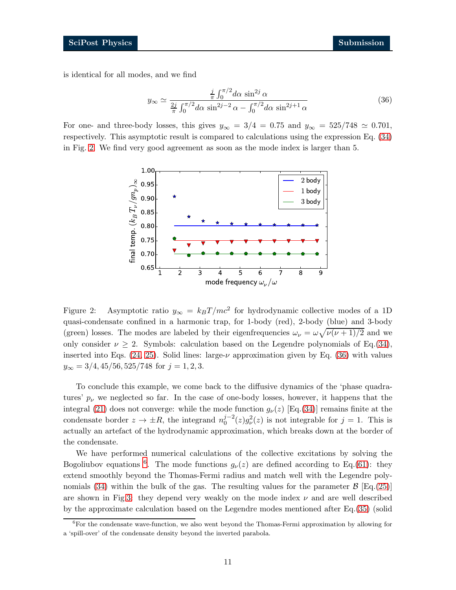is identical for all modes, and we find

<span id="page-10-1"></span>
$$
y_{\infty} \simeq \frac{\frac{j}{\pi} \int_0^{\pi/2} d\alpha \sin^{2j} \alpha}{\frac{2j}{\pi} \int_0^{\pi/2} d\alpha \sin^{2j-2} \alpha - \int_0^{\pi/2} d\alpha \sin^{2j+1} \alpha}
$$
(36)

For one- and three-body losses, this gives  $y_{\infty} = 3/4 = 0.75$  and  $y_{\infty} = 525/748 \simeq 0.701$ , respectively. This asymptotic result is compared to calculations using the expression Eq. [\(34\)](#page-9-1) in Fig. [2.](#page-10-0) We find very good agreement as soon as the mode index is larger than 5.



<span id="page-10-0"></span>Figure 2: Asymptotic ratio  $y_{\infty} = k_B T/mc^2$  for hydrodynamic collective modes of a 1D quasi-condensate confined in a harmonic trap, for 1-body (red), 2-body (blue) and 3-body (green) losses. The modes are labeled by their eigenfrequencies  $\omega_{\nu} = \omega \sqrt{\nu(\nu+1)/2}$  and we only consider  $\nu \geq 2$ . Symbols: calculation based on the Legendre polynomials of Eq. [\(34\)](#page-9-1), inserted into Eqs.  $(24, 25)$ . Solid lines: large- $\nu$  approximation given by Eq.  $(36)$  with values  $y_{\infty} = 3/4, 45/56, 525/748$  for  $j = 1, 2, 3$ .

To conclude this example, we come back to the diffusive dynamics of the 'phase quadratures'  $p_{\nu}$  we neglected so far. In the case of one-body losses, however, it happens that the integral [\(21\)](#page-6-4) does not converge: while the mode function  $g_{\nu}(z)$  [Eq.[\(34\)](#page-9-1)] remains finite at the condensate border  $z \to \pm R$ , the integrand  $n_0^{j-2}(z)g_\nu^2(z)$  is not integrable for  $j = 1$ . This is actually an artefact of the hydrodynamic approximation, which breaks down at the border of the condensate.

We have performed numerical calculations of the collective excitations by solving the Bogoliubov equations <sup>[6](#page-10-2)</sup>. The mode functions  $g_{\nu}(z)$  are defined according to Eq.[\(61\)](#page-16-0): they extend smoothly beyond the Thomas-Fermi radius and match well with the Legendre poly-nomials [\(34\)](#page-9-1) within the bulk of the gas. The resulting values for the parameter  $\mathcal{B}$  [Eq.[\(25\)](#page-7-1)] are shown in Fig[.3:](#page-11-0) they depend very weakly on the mode index  $\nu$  and are well described by the approximate calculation based on the Legendre modes mentioned after Eq.[\(35\)](#page-9-2) (solid

<span id="page-10-2"></span> ${}^{6}$ For the condensate wave-function, we also went beyond the Thomas-Fermi approximation by allowing for a 'spill-over' of the condensate density beyond the inverted parabola.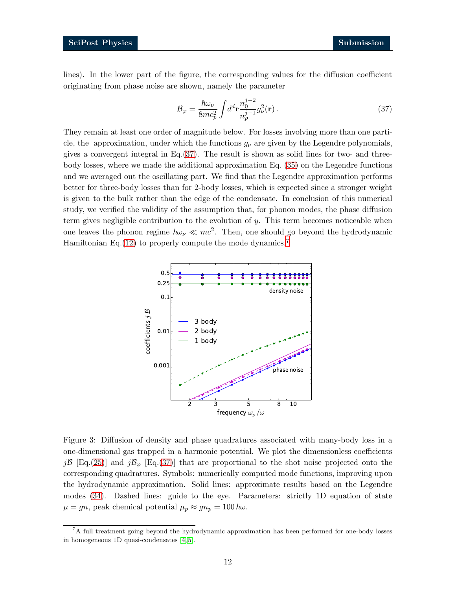lines). In the lower part of the figure, the corresponding values for the diffusion coefficient originating from phase noise are shown, namely the parameter

<span id="page-11-1"></span>
$$
\mathcal{B}_{\varphi} = \frac{\hbar \omega_{\nu}}{8mc_p^2} \int d^d \mathbf{r} \frac{n_0^{j-2}}{n_p^{j-1}} g_{\nu}^2(\mathbf{r}) \,. \tag{37}
$$

They remain at least one order of magnitude below. For losses involving more than one particle, the approximation, under which the functions  $g_{\nu}$  are given by the Legendre polynomials, gives a convergent integral in Eq.  $(37)$ . The result is shown as solid lines for two- and threebody losses, where we made the additional approximation Eq. [\(35\)](#page-9-2) on the Legendre functions and we averaged out the oscillating part. We find that the Legendre approximation performs better for three-body losses than for 2-body losses, which is expected since a stronger weight is given to the bulk rather than the edge of the condensate. In conclusion of this numerical study, we verified the validity of the assumption that, for phonon modes, the phase diffusion term gives negligible contribution to the evolution of  $y$ . This term becomes noticeable when one leaves the phonon regime  $\hbar\omega_{\nu} \ll mc^2$ . Then, one should go beyond the hydrodynamic Hamiltonian Eq.[\(12\)](#page-5-0) to properly compute the mode dynamics.<sup>[7](#page-11-2)</sup>



<span id="page-11-0"></span>Figure 3: Diffusion of density and phase quadratures associated with many-body loss in a one-dimensional gas trapped in a harmonic potential. We plot the dimensionless coefficients jB [Eq.[\(25\)](#page-7-1)] and jB<sub> $\varphi$ </sub> [Eq.[\(37\)](#page-11-1)] that are proportional to the shot noise projected onto the corresponding quadratures. Symbols: numerically computed mode functions, improving upon the hydrodynamic approximation. Solid lines: approximate results based on the Legendre modes [\(34\)](#page-9-1). Dashed lines: guide to the eye. Parameters: strictly 1D equation of state  $\mu = gn$ , peak chemical potential  $\mu_p \approx gn_p = 100 \hbar \omega$ .

<span id="page-11-2"></span><sup>7</sup>A full treatment going beyond the hydrodynamic approximation has been performed for one-body losses in homogeneous 1D quasi-condensates [\[4,](#page-17-6) [5\]](#page-17-11).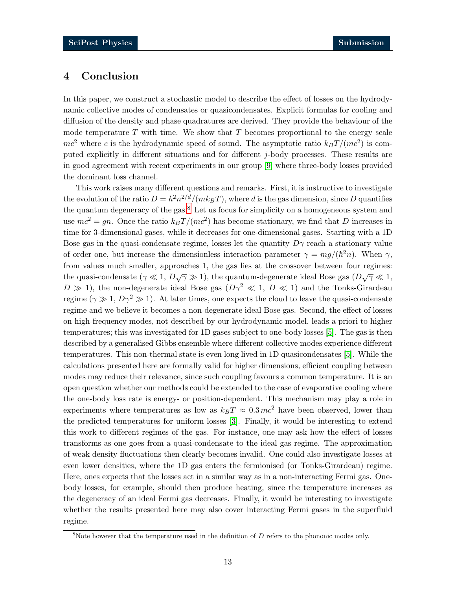## 4 Conclusion

In this paper, we construct a stochastic model to describe the effect of losses on the hydrodynamic collective modes of condensates or quasicondensates. Explicit formulas for cooling and diffusion of the density and phase quadratures are derived. They provide the behaviour of the mode temperature  $T$  with time. We show that  $T$  becomes proportional to the energy scale  $mc^2$  where c is the hydrodynamic speed of sound. The asymptotic ratio  $k_BT/(mc^2)$  is computed explicitly in different situations and for different j-body processes. These results are in good agreement with recent experiments in our group [\[9\]](#page-17-7) where three-body losses provided the dominant loss channel.

This work raises many different questions and remarks. First, it is instructive to investigate the evolution of the ratio  $D = \hbar^2 n^{2/d} / (m k_B T)$ , where d is the gas dimension, since D quantifies the quantum degeneracy of the gas.<sup>[8](#page-12-0)</sup> Let us focus for simplicity on a homogeneous system and use  $mc^2 = gn$ . Once the ratio  $k_BT/(mc^2)$  has become stationary, we find that D increases in time for 3-dimensional gases, while it decreases for one-dimensional gases. Starting with a 1D Bose gas in the quasi-condensate regime, losses let the quantity  $D\gamma$  reach a stationary value of order one, but increase the dimensionless interaction parameter  $\gamma = mg/(\hbar^2 n)$ . When  $\gamma$ , from values much smaller, approaches 1, the gas lies at the crossover between four regimes: the quasi-condensate  $(\gamma \ll 1, D\sqrt{\gamma} \gg 1)$ , the quantum-degenerate ideal Bose gas  $(D\sqrt{\gamma} \ll 1, D\sqrt{\gamma})$  $D \gg 1$ , the non-degenerate ideal Bose gas  $(D\gamma^2 \ll 1, D \ll 1)$  and the Tonks-Girardeau regime ( $\gamma \gg 1$ ,  $D\gamma^2 \gg 1$ ). At later times, one expects the cloud to leave the quasi-condensate regime and we believe it becomes a non-degenerate ideal Bose gas. Second, the effect of losses on high-frequency modes, not described by our hydrodynamic model, leads a priori to higher temperatures; this was investigated for 1D gases subject to one-body losses [\[5\]](#page-17-11). The gas is then described by a generalised Gibbs ensemble where different collective modes experience different temperatures. This non-thermal state is even long lived in 1D quasicondensates [\[5\]](#page-17-11). While the calculations presented here are formally valid for higher dimensions, efficient coupling between modes may reduce their relevance, since such coupling favours a common temperature. It is an open question whether our methods could be extended to the case of evaporative cooling where the one-body loss rate is energy- or position-dependent. This mechanism may play a role in experiments where temperatures as low as  $k_BT \approx 0.3 mc^2$  have been observed, lower than the predicted temperatures for uniform losses [\[3\]](#page-17-2). Finally, it would be interesting to extend this work to different regimes of the gas. For instance, one may ask how the effect of losses transforms as one goes from a quasi-condensate to the ideal gas regime. The approximation of weak density fluctuations then clearly becomes invalid. One could also investigate losses at even lower densities, where the 1D gas enters the fermionised (or Tonks-Girardeau) regime. Here, ones expects that the losses act in a similar way as in a non-interacting Fermi gas. Onebody losses, for example, should then produce heating, since the temperature increases as the degeneracy of an ideal Fermi gas decreases. Finally, it would be interesting to investigate whether the results presented here may also cover interacting Fermi gases in the superfluid regime.

<span id="page-12-0"></span> $8$ Note however that the temperature used in the definition of  $D$  refers to the phononic modes only.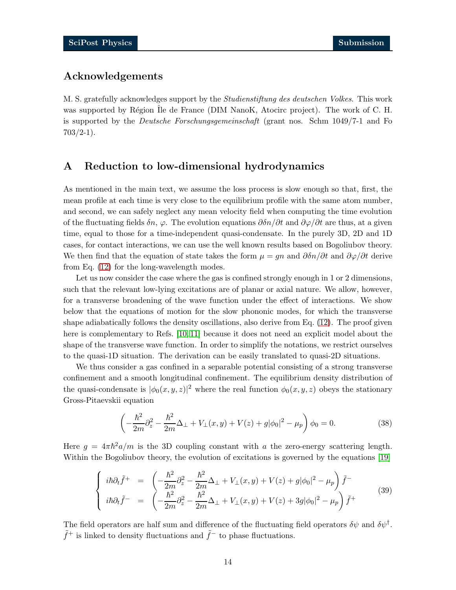## Acknowledgements

M. S. gratefully acknowledges support by the Studienstiftung des deutschen Volkes. This work was supported by Région Ile de France (DIM NanoK, Atocirc project). The work of C. H. is supported by the Deutsche Forschungsgemeinschaft (grant nos. Schm 1049/7-1 and Fo  $703/2-1$ ).

## <span id="page-13-0"></span>A Reduction to low-dimensional hydrodynamics

As mentioned in the main text, we assume the loss process is slow enough so that, first, the mean profile at each time is very close to the equilibrium profile with the same atom number, and second, we can safely neglect any mean velocity field when computing the time evolution of the fluctuating fields  $\delta n$ ,  $\varphi$ . The evolution equations  $\partial \delta n/\partial t$  and  $\partial \varphi/\partial t$  are thus, at a given time, equal to those for a time-independent quasi-condensate. In the purely 3D, 2D and 1D cases, for contact interactions, we can use the well known results based on Bogoliubov theory. We then find that the equation of state takes the form  $\mu = gn$  and  $\frac{\partial \delta n}{\partial t}$  and  $\frac{\partial \varphi}{\partial t}$  derive from Eq. [\(12\)](#page-5-0) for the long-wavelength modes.

Let us now consider the case where the gas is confined strongly enough in 1 or 2 dimensions, such that the relevant low-lying excitations are of planar or axial nature. We allow, however, for a transverse broadening of the wave function under the effect of interactions. We show below that the equations of motion for the slow phononic modes, for which the transverse shape adiabatically follows the density oscillations, also derive from Eq. [\(12\)](#page-5-0). The proof given here is complementary to Refs. [\[10,](#page-17-8) [11\]](#page-17-10) because it does not need an explicit model about the shape of the transverse wave function. In order to simplify the notations, we restrict ourselves to the quasi-1D situation. The derivation can be easily translated to quasi-2D situations.

We thus consider a gas confined in a separable potential consisting of a strong transverse confinement and a smooth longitudinal confinement. The equilibrium density distribution of the quasi-condensate is  $|\phi_0(x, y, z)|^2$  where the real function  $\phi_0(x, y, z)$  obeys the stationary Gross-Pitaevskii equation

<span id="page-13-2"></span><span id="page-13-1"></span>
$$
\left(-\frac{\hbar^2}{2m}\partial_z^2 - \frac{\hbar^2}{2m}\Delta_\perp + V_\perp(x,y) + V(z) + g|\phi_0|^2 - \mu_p\right)\phi_0 = 0.
$$
\n(38)

Here  $g = 4\pi\hbar^2 a/m$  is the 3D coupling constant with a the zero-energy scattering length. Within the Bogoliubov theory, the evolution of excitations is governed by the equations [\[19\]](#page-18-6)

$$
\begin{cases}\n i\hbar \partial_t \tilde{f}^+ = \left( -\frac{\hbar^2}{2m} \partial_z^2 - \frac{\hbar^2}{2m} \Delta_\perp + V_\perp(x, y) + V(z) + g |\phi_0|^2 - \mu_p \right) \tilde{f}^- \\
 i\hbar \partial_t \tilde{f}^- = \left( -\frac{\hbar^2}{2m} \partial_z^2 - \frac{\hbar^2}{2m} \Delta_\perp + V_\perp(x, y) + V(z) + 3g |\phi_0|^2 - \mu_p \right) \tilde{f}^+\n\end{cases} (39)
$$

The field operators are half sum and difference of the fluctuating field operators  $\delta\psi$  and  $\delta\psi^{\dagger}$ .  $\tilde{f}^+$  is linked to density fluctuations and  $\tilde{f}^-$  to phase fluctuations.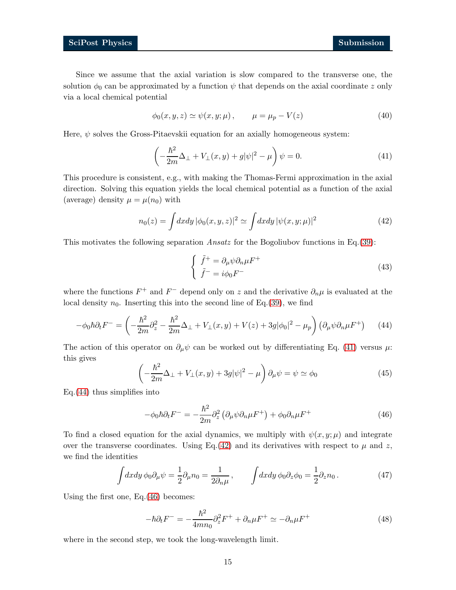Since we assume that the axial variation is slow compared to the transverse one, the solution  $\phi_0$  can be approximated by a function  $\psi$  that depends on the axial coordinate z only via a local chemical potential

$$
\phi_0(x, y, z) \simeq \psi(x, y; \mu), \qquad \mu = \mu_p - V(z) \tag{40}
$$

Here,  $\psi$  solves the Gross-Pitaevskii equation for an axially homogeneous system:

<span id="page-14-0"></span>
$$
\left(-\frac{\hbar^2}{2m}\Delta_{\perp} + V_{\perp}(x,y) + g|\psi|^2 - \mu\right)\psi = 0.
$$
\n(41)

This procedure is consistent, e.g., with making the Thomas-Fermi approximation in the axial direction. Solving this equation yields the local chemical potential as a function of the axial (average) density  $\mu = \mu(n_0)$  with

<span id="page-14-2"></span>
$$
n_0(z) = \int dx dy |\phi_0(x, y, z)|^2 \simeq \int dx dy |\psi(x, y; \mu)|^2
$$
 (42)

This motivates the following separation *Ansatz* for the Bogoliubov functions in Eq.[\(39\)](#page-13-1):

<span id="page-14-4"></span><span id="page-14-1"></span>
$$
\begin{cases}\n\tilde{f}^+ = \partial_\mu \psi \partial_n \mu F^+ \\
\tilde{f}^- = i \phi_0 F^- \n\end{cases} \tag{43}
$$

where the functions  $F^+$  and  $F^-$  depend only on z and the derivative  $\partial_n \mu$  is evaluated at the local density  $n_0$ . Inserting this into the second line of Eq.[\(39\)](#page-13-1), we find

$$
-\phi_0 \hbar \partial_t F^- = \left(-\frac{\hbar^2}{2m}\partial_z^2 - \frac{\hbar^2}{2m}\Delta_\perp + V_\perp(x,y) + V(z) + 3g|\phi_0|^2 - \mu_p\right) \left(\partial_\mu \psi \partial_n \mu F^+\right) \tag{44}
$$

The action of this operator on  $\partial_{\mu}\psi$  can be worked out by differentiating Eq. [\(41\)](#page-14-0) versus  $\mu$ : this gives

$$
\left(-\frac{\hbar^2}{2m}\Delta_{\perp} + V_{\perp}(x,y) + 3g|\psi|^2 - \mu\right)\partial_{\mu}\psi = \psi \simeq \phi_0\tag{45}
$$

Eq.[\(44\)](#page-14-1) thus simplifies into

<span id="page-14-3"></span>
$$
-\phi_0 \hbar \partial_t F^- = -\frac{\hbar^2}{2m} \partial_z^2 \left( \partial_\mu \psi \partial_n \mu F^+ \right) + \phi_0 \partial_n \mu F^+ \tag{46}
$$

To find a closed equation for the axial dynamics, we multiply with  $\psi(x, y; \mu)$  and integrate over the transverse coordinates. Using Eq.[\(42\)](#page-14-2) and its derivatives with respect to  $\mu$  and z, we find the identities

<span id="page-14-5"></span>
$$
\int dx dy \, \phi_0 \partial_\mu \psi = \frac{1}{2} \partial_\mu n_0 = \frac{1}{2 \partial_n \mu} \,, \qquad \int dx dy \, \phi_0 \partial_z \phi_0 = \frac{1}{2} \partial_z n_0 \,. \tag{47}
$$

Using the first one, Eq.[\(46\)](#page-14-3) becomes:

<span id="page-14-6"></span>
$$
-\hbar \partial_t F^- = -\frac{\hbar^2}{4m n_0} \partial_z^2 F^+ + \partial_n \mu F^+ \simeq -\partial_n \mu F^+ \tag{48}
$$

where in the second step, we took the long-wavelength limit.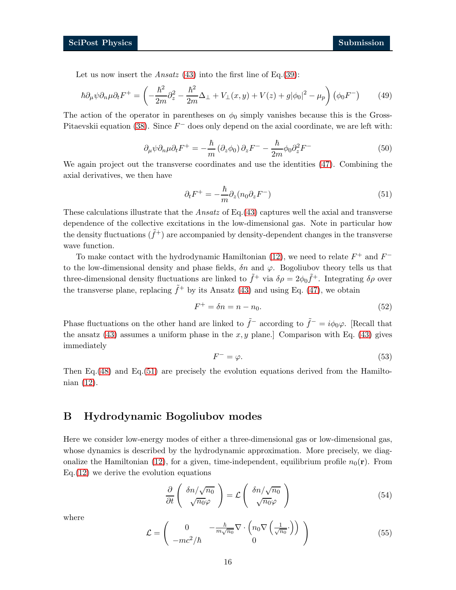Let us now insert the *Ansatz*  $(43)$  into the first line of Eq.[\(39\)](#page-13-1):

$$
\hbar \partial_{\mu} \psi \partial_n \mu \partial_t F^+ = \left( -\frac{\hbar^2}{2m} \partial_z^2 - \frac{\hbar^2}{2m} \Delta_\perp + V_\perp(x, y) + V(z) + g |\phi_0|^2 - \mu_p \right) (\phi_0 F^-) \tag{49}
$$

The action of the operator in parentheses on  $\phi_0$  simply vanishes because this is the Gross-Pitaevskii equation [\(38\)](#page-13-2). Since  $F^-$  does only depend on the axial coordinate, we are left with:

$$
\partial_{\mu}\psi\partial_{n}\mu\partial_{t}F^{+} = -\frac{\hbar}{m}\left(\partial_{z}\phi_{0}\right)\partial_{z}F^{-} - \frac{\hbar}{2m}\phi_{0}\partial_{z}^{2}F^{-}
$$
\n(50)

We again project out the transverse coordinates and use the identities [\(47\)](#page-14-5). Combining the axial derivatives, we then have

<span id="page-15-1"></span>
$$
\partial_t F^+ = -\frac{\hbar}{m} \partial_z (n_0 \partial_z F^-) \tag{51}
$$

These calculations illustrate that the Ansatz of Eq.  $(43)$  captures well the axial and transverse dependence of the collective excitations in the low-dimensional gas. Note in particular how the density fluctuations  $(\tilde{f}^+)$  are accompanied by density-dependent changes in the transverse wave function.

To make contact with the hydrodynamic Hamiltonian [\(12\)](#page-5-0), we need to relate  $F^+$  and  $F^$ to the low-dimensional density and phase fields,  $\delta n$  and  $\varphi$ . Bogoliubov theory tells us that three-dimensional density fluctuations are linked to  $\tilde{f}^+$  via  $\delta \rho = 2\phi_0 \tilde{f}^+$ . Integrating  $\delta \rho$  over the transverse plane, replacing  $\tilde{f}^+$  by its Ansatz [\(43\)](#page-14-4) and using Eq. [\(47\)](#page-14-5), we obtain

$$
F^+ = \delta n = n - n_0. \tag{52}
$$

Phase fluctuations on the other hand are linked to  $\tilde{f}^-$  according to  $\tilde{f}^- = i\phi_0\varphi$ . [Recall that the ansatz  $(43)$  assumes a uniform phase in the x, y plane.] Comparison with Eq.  $(43)$  gives immediately

$$
F^- = \varphi. \tag{53}
$$

Then Eq.[\(48\)](#page-14-6) and Eq.[\(51\)](#page-15-1) are precisely the evolution equations derived from the Hamiltonian [\(12\)](#page-5-0).

## <span id="page-15-0"></span>B Hydrodynamic Bogoliubov modes

Here we consider low-energy modes of either a three-dimensional gas or low-dimensional gas, whose dynamics is described by the hydrodynamic approximation. More precisely, we diag-onalize the Hamiltonian [\(12\)](#page-5-0), for a given, time-independent, equilibrium profile  $n_0(\mathbf{r})$ . From  $Eq.(12)$  $Eq.(12)$  we derive the evolution equations

<span id="page-15-2"></span>
$$
\frac{\partial}{\partial t} \left( \frac{\delta n / \sqrt{n_0}}{\sqrt{n_0} \varphi} \right) = \mathcal{L} \left( \frac{\delta n / \sqrt{n_0}}{\sqrt{n_0} \varphi} \right) \tag{54}
$$

where

$$
\mathcal{L} = \begin{pmatrix} 0 & -\frac{\hbar}{m\sqrt{n_0}} \nabla \cdot \left( n_0 \nabla \left( \frac{1}{\sqrt{n_0}} \cdot \right) \right) \\ -mc^2/\hbar & 0 \end{pmatrix}
$$
(55)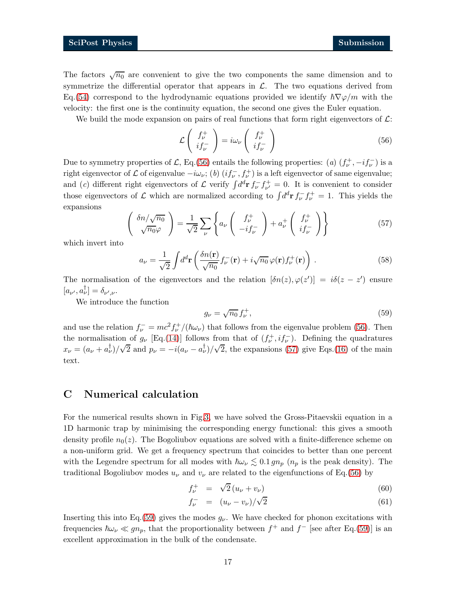The factors  $\sqrt{n_0}$  are convenient to give the two components the same dimension and to symmetrize the differential operator that appears in  $\mathcal{L}$ . The two equations derived from Eq.[\(54\)](#page-15-2) correspond to the hydrodynamic equations provided we identify  $\hbar \nabla \varphi/m$  with the velocity: the first one is the continuity equation, the second one gives the Euler equation.

We build the mode expansion on pairs of real functions that form right eigenvectors of  $\mathcal{L}$ :

<span id="page-16-1"></span>
$$
\mathcal{L}\left(\begin{array}{c}f_{\nu}^{+}\\if_{\nu}^{-}\end{array}\right)=i\omega_{\nu}\left(\begin{array}{c}f_{\nu}^{+}\\if_{\nu}^{-}\end{array}\right)
$$
\n(56)

Due to symmetry properties of L, Eq.[\(56\)](#page-16-1) entails the following properties: (a)  $(f^+_\nu, -if^-_\nu)$  is a right eigenvector of  $\mathcal L$  of eigenvalue  $-i\omega_\nu$ ; (b)  $(if_\nu^-, f_\nu^+)$  is a left eigenvector of same eigenvalue; and (*c*) different right eigenvectors of  $\mathcal{L}$  verify  $\int d^d \mathbf{r} f_{\nu}^- f_{\nu'}^+$  $v^+_{\nu'} = 0$ . It is convenient to consider those eigenvectors of  $\mathcal L$  which are normalized according to  $\int d^d \mathbf{r} f_{\nu}^- f_{\nu}^+ = 1$ . This yields the expansions

<span id="page-16-2"></span>
$$
\left(\begin{array}{c}\n\delta n/\sqrt{n_0} \\
\sqrt{n_0}\varphi\n\end{array}\right) = \frac{1}{\sqrt{2}} \sum_{\nu} \left\{ a_{\nu} \left(\begin{array}{c} f_{\nu}^+ \\ -if_{\nu}^- \end{array}\right) + a_{\nu}^+ \left(\begin{array}{c} f_{\nu}^+ \\ if_{\nu}^- \end{array}\right) \right\} \tag{57}
$$

which invert into

$$
a_{\nu} = \frac{1}{\sqrt{2}} \int d^d \mathbf{r} \left( \frac{\delta n(\mathbf{r})}{\sqrt{n_0}} f_{\nu}^-(\mathbf{r}) + i \sqrt{n_0} \varphi(\mathbf{r}) f_{\nu}^+(\mathbf{r}) \right) . \tag{58}
$$

The normalisation of the eigenvectors and the relation  $[\delta n(z), \varphi(z')] = i\delta(z - z')$  ensure  $[a_{\nu'}, a_{\nu}^{\dagger}] = \delta_{\nu',\nu}.$ 

We introduce the function

<span id="page-16-3"></span>
$$
g_{\nu} = \sqrt{n_0} f_{\nu}^{+},\tag{59}
$$

and use the relation  $f_{\nu}^- = mc^2 f_{\nu}^+ / (\hbar \omega_{\nu})$  that follows from the eigenvalue problem [\(56\)](#page-16-1). Then the normalisation of  $g_{\nu}$  [Eq.[\(14\)](#page-5-3)] follows from that of  $(f_{\nu}^+, if_{\nu}^-)$ . Defining the quadratures  $x_{\nu} = (a_{\nu} + a_{\nu}^{\dagger})/\sqrt{2}$  and  $p_{\nu} = -i(a_{\nu} - a_{\nu}^{\dagger})/\sqrt{2}$ , the expansions [\(57\)](#page-16-2) give Eqs.[\(16\)](#page-5-2) of the main text.

# C Numerical calculation

For the numerical results shown in Fig[.3,](#page-11-0) we have solved the Gross-Pitaevskii equation in a 1D harmonic trap by minimising the corresponding energy functional: this gives a smooth density profile  $n_0(z)$ . The Bogoliubov equations are solved with a finite-difference scheme on a non-uniform grid. We get a frequency spectrum that coincides to better than one percent with the Legendre spectrum for all modes with  $\hbar\omega_v \lesssim 0.1 g n_p$  ( $n_p$  is the peak density). The traditional Bogoliubov modes  $u_{\nu}$  and  $v_{\nu}$  are related to the eigenfunctions of Eq.[\(56\)](#page-16-1) by

<span id="page-16-0"></span>
$$
f_{\nu}^{+} = \sqrt{2} \left( u_{\nu} + v_{\nu} \right) \tag{60}
$$

$$
f_{\nu}^{-} = (u_{\nu} - v_{\nu})/\sqrt{2}
$$
\n(61)

Inserting this into Eq. [\(59\)](#page-16-3) gives the modes  $g_{\nu}$ . We have checked for phonon excitations with frequencies  $\hbar\omega_v \ll gn_p$ , that the proportionality between  $f^+$  and  $f^-$  [see after Eq.[\(59\)](#page-16-3)] is an excellent approximation in the bulk of the condensate.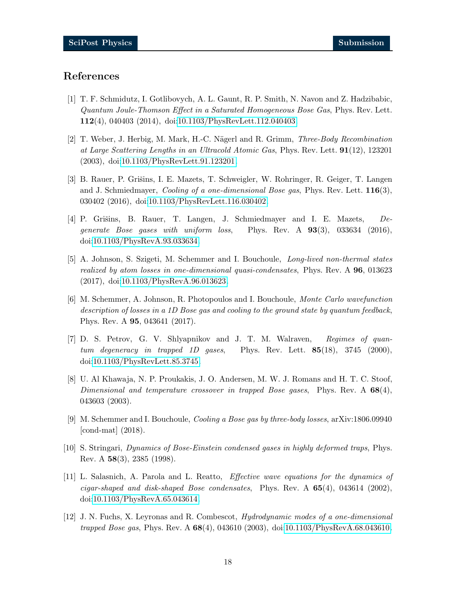# <span id="page-17-0"></span>References

- [1] T. F. Schmidutz, I. Gotlibovych, A. L. Gaunt, R. P. Smith, N. Navon and Z. Hadzibabic, Quantum Joule-Thomson Effect in a Saturated Homogeneous Bose Gas, Phys. Rev. Lett. 112(4), 040403 (2014), doi[:10.1103/PhysRevLett.112.040403.](http://dx.doi.org/10.1103/PhysRevLett.112.040403)
- <span id="page-17-1"></span>[2] T. Weber, J. Herbig, M. Mark, H.-C. Nägerl and R. Grimm, *Three-Body Recombination* at Large Scattering Lengths in an Ultracold Atomic Gas, Phys. Rev. Lett. 91(12), 123201 (2003), doi[:10.1103/PhysRevLett.91.123201.](http://dx.doi.org/10.1103/PhysRevLett.91.123201)
- <span id="page-17-2"></span>[3] B. Rauer, P. Grišins, I. E. Mazets, T. Schweigler, W. Rohringer, R. Geiger, T. Langen and J. Schmiedmayer, *Cooling of a one-dimensional Bose gas*, Phys. Rev. Lett.  $116(3)$ , 030402 (2016), doi[:10.1103/PhysRevLett.116.030402.](http://dx.doi.org/10.1103/PhysRevLett.116.030402)
- <span id="page-17-6"></span>[4] P. Grišins, B. Rauer, T. Langen, J. Schmiedmayer and I. E. Mazets,  $De$ generate Bose gases with uniform loss, Phys. Rev. A 93(3), 033634 (2016), doi[:10.1103/PhysRevA.93.033634.](http://dx.doi.org/10.1103/PhysRevA.93.033634)
- <span id="page-17-11"></span>[5] A. Johnson, S. Szigeti, M. Schemmer and I. Bouchoule, Long-lived non-thermal states realized by atom losses in one-dimensional quasi-condensates, Phys. Rev. A 96, 013623 (2017), doi[:10.1103/PhysRevA.96.013623.](http://dx.doi.org/10.1103/PhysRevA.96.013623)
- <span id="page-17-3"></span>[6] M. Schemmer, A. Johnson, R. Photopoulos and I. Bouchoule, Monte Carlo wavefunction description of losses in a 1D Bose gas and cooling to the ground state by quantum feedback, Phys. Rev. A 95, 043641 (2017).
- <span id="page-17-4"></span>[7] D. S. Petrov, G. V. Shlyapnikov and J. T. M. Walraven, Regimes of quantum degeneracy in trapped 1D gases, Phys. Rev. Lett.  $85(18)$ , 3745 (2000), doi[:10.1103/PhysRevLett.85.3745.](http://dx.doi.org/10.1103/PhysRevLett.85.3745)
- <span id="page-17-5"></span>[8] U. Al Khawaja, N. P. Proukakis, J. O. Andersen, M. W. J. Romans and H. T. C. Stoof, Dimensional and temperature crossover in trapped Bose gases, Phys. Rev. A  $68(4)$ , 043603 (2003).
- <span id="page-17-8"></span><span id="page-17-7"></span>[9] M. Schemmer and I. Bouchoule, Cooling a Bose gas by three-body losses, arXiv:1806.09940 [cond-mat] (2018).
- <span id="page-17-10"></span>[10] S. Stringari, Dynamics of Bose-Einstein condensed gases in highly deformed traps, Phys. Rev. A 58(3), 2385 (1998).
- [11] L. Salasnich, A. Parola and L. Reatto, Effective wave equations for the dynamics of cigar-shaped and disk-shaped Bose condensates, Phys. Rev. A  $65(4)$ , 043614 (2002), doi[:10.1103/PhysRevA.65.043614.](http://dx.doi.org/10.1103/PhysRevA.65.043614)
- <span id="page-17-9"></span>[12] J. N. Fuchs, X. Leyronas and R. Combescot, Hydrodynamic modes of a one-dimensional trapped Bose gas, Phys. Rev. A 68(4), 043610 (2003), doi[:10.1103/PhysRevA.68.043610.](http://dx.doi.org/10.1103/PhysRevA.68.043610)